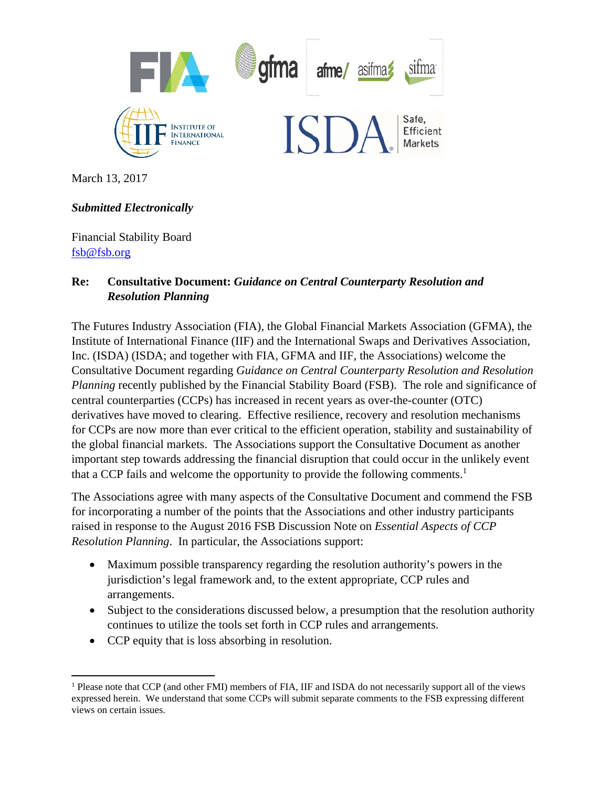

March 13, 2017

# *Submitted Electronically*

Financial Stability Board fsb@fsb.org

## **Re: Consultative Document:** *Guidance on Central Counterparty Resolution and Resolution Planning*

The Futures Industry Association (FIA), the Global Financial Markets Association (GFMA), the Institute of International Finance (IIF) and the International Swaps and Derivatives Association, Inc. (ISDA) (ISDA; and together with FIA, GFMA and IIF, the Associations) welcome the Consultative Document regarding *Guidance on Central Counterparty Resolution and Resolution Planning* recently published by the Financial Stability Board (FSB). The role and significance of central counterparties (CCPs) has increased in recent years as over-the-counter (OTC) derivatives have moved to clearing. Effective resilience, recovery and resolution mechanisms for CCPs are now more than ever critical to the efficient operation, stability and sustainability of the global financial markets. The Associations support the Consultative Document as another important step towards addressing the financial disruption that could occur in the unlikely event that a CCP fails and welcome the opportunity to provide the following comments.<sup>1</sup>

The Associations agree with many aspects of the Consultative Document and commend the FSB for incorporating a number of the points that the Associations and other industry participants raised in response to the August 2016 FSB Discussion Note on *Essential Aspects of CCP Resolution Planning*. In particular, the Associations support:

- Maximum possible transparency regarding the resolution authority's powers in the jurisdiction's legal framework and, to the extent appropriate, CCP rules and arrangements.
- Subject to the considerations discussed below, a presumption that the resolution authority continues to utilize the tools set forth in CCP rules and arrangements.
- CCP equity that is loss absorbing in resolution.

 <sup>1</sup> Please note that CCP (and other FMI) members of FIA, IIF and ISDA do not necessarily support all of the views expressed herein. We understand that some CCPs will submit separate comments to the FSB expressing different views on certain issues.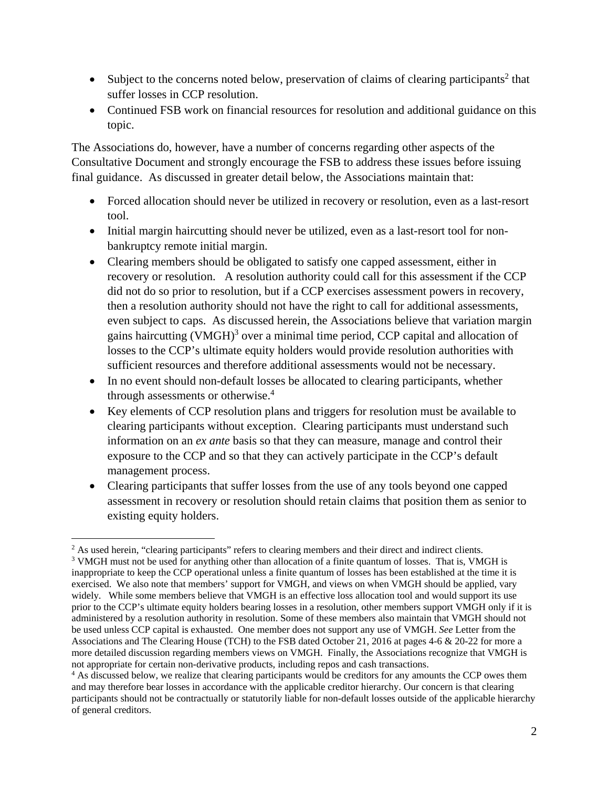- $\bullet$  Subject to the concerns noted below, preservation of claims of clearing participants<sup>2</sup> that suffer losses in CCP resolution.
- Continued FSB work on financial resources for resolution and additional guidance on this topic.

The Associations do, however, have a number of concerns regarding other aspects of the Consultative Document and strongly encourage the FSB to address these issues before issuing final guidance. As discussed in greater detail below, the Associations maintain that:

- Forced allocation should never be utilized in recovery or resolution, even as a last-resort tool.
- Initial margin haircutting should never be utilized, even as a last-resort tool for nonbankruptcy remote initial margin.
- Clearing members should be obligated to satisfy one capped assessment, either in recovery or resolution. A resolution authority could call for this assessment if the CCP did not do so prior to resolution, but if a CCP exercises assessment powers in recovery, then a resolution authority should not have the right to call for additional assessments, even subject to caps. As discussed herein, the Associations believe that variation margin gains haircutting  $(VMGH)^3$  over a minimal time period, CCP capital and allocation of losses to the CCP's ultimate equity holders would provide resolution authorities with sufficient resources and therefore additional assessments would not be necessary.
- In no event should non-default losses be allocated to clearing participants, whether through assessments or otherwise.<sup>4</sup>
- Key elements of CCP resolution plans and triggers for resolution must be available to clearing participants without exception. Clearing participants must understand such information on an *ex ante* basis so that they can measure, manage and control their exposure to the CCP and so that they can actively participate in the CCP's default management process.
- Clearing participants that suffer losses from the use of any tools beyond one capped assessment in recovery or resolution should retain claims that position them as senior to existing equity holders.

<sup>&</sup>lt;sup>2</sup> As used herein, "clearing participants" refers to clearing members and their direct and indirect clients.<br><sup>3</sup> VMGH must not be used for anything other than allocation of a finite quantum of losses. That is VM <sup>3</sup> VMGH must not be used for anything other than allocation of a finite quantum of losses. That is, VMGH is inappropriate to keep the CCP operational unless a finite quantum of losses has been established at the time it is exercised. We also note that members' support for VMGH, and views on when VMGH should be applied, vary widely. While some members believe that VMGH is an effective loss allocation tool and would support its use prior to the CCP's ultimate equity holders bearing losses in a resolution, other members support VMGH only if it is administered by a resolution authority in resolution. Some of these members also maintain that VMGH should not be used unless CCP capital is exhausted. One member does not support any use of VMGH. *See* Letter from the Associations and The Clearing House (TCH) to the FSB dated October 21, 2016 at pages 4-6 & 20-22 for more a more detailed discussion regarding members views on VMGH. Finally, the Associations recognize that VMGH is not appropriate for certain non-derivative products, including repos and cash transactions.

<sup>&</sup>lt;sup>4</sup> As discussed below, we realize that clearing participants would be creditors for any amounts the CCP owes them and may therefore bear losses in accordance with the applicable creditor hierarchy. Our concern is that clearing participants should not be contractually or statutorily liable for non-default losses outside of the applicable hierarchy of general creditors.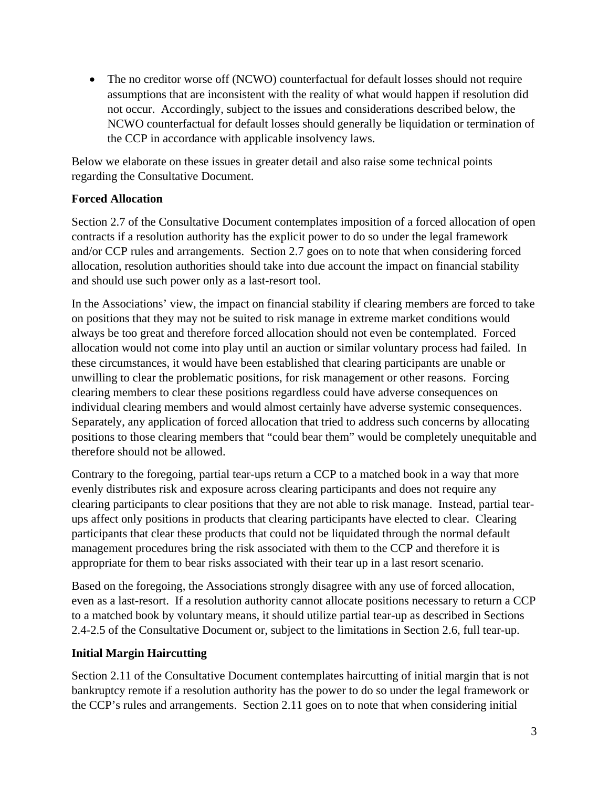• The no creditor worse off (NCWO) counterfactual for default losses should not require assumptions that are inconsistent with the reality of what would happen if resolution did not occur. Accordingly, subject to the issues and considerations described below, the NCWO counterfactual for default losses should generally be liquidation or termination of the CCP in accordance with applicable insolvency laws.

Below we elaborate on these issues in greater detail and also raise some technical points regarding the Consultative Document.

## **Forced Allocation**

Section 2.7 of the Consultative Document contemplates imposition of a forced allocation of open contracts if a resolution authority has the explicit power to do so under the legal framework and/or CCP rules and arrangements. Section 2.7 goes on to note that when considering forced allocation, resolution authorities should take into due account the impact on financial stability and should use such power only as a last-resort tool.

In the Associations' view, the impact on financial stability if clearing members are forced to take on positions that they may not be suited to risk manage in extreme market conditions would always be too great and therefore forced allocation should not even be contemplated. Forced allocation would not come into play until an auction or similar voluntary process had failed. In these circumstances, it would have been established that clearing participants are unable or unwilling to clear the problematic positions, for risk management or other reasons. Forcing clearing members to clear these positions regardless could have adverse consequences on individual clearing members and would almost certainly have adverse systemic consequences. Separately, any application of forced allocation that tried to address such concerns by allocating positions to those clearing members that "could bear them" would be completely unequitable and therefore should not be allowed.

Contrary to the foregoing, partial tear-ups return a CCP to a matched book in a way that more evenly distributes risk and exposure across clearing participants and does not require any clearing participants to clear positions that they are not able to risk manage. Instead, partial tearups affect only positions in products that clearing participants have elected to clear. Clearing participants that clear these products that could not be liquidated through the normal default management procedures bring the risk associated with them to the CCP and therefore it is appropriate for them to bear risks associated with their tear up in a last resort scenario.

Based on the foregoing, the Associations strongly disagree with any use of forced allocation, even as a last-resort. If a resolution authority cannot allocate positions necessary to return a CCP to a matched book by voluntary means, it should utilize partial tear-up as described in Sections 2.4-2.5 of the Consultative Document or, subject to the limitations in Section 2.6, full tear-up.

## **Initial Margin Haircutting**

Section 2.11 of the Consultative Document contemplates haircutting of initial margin that is not bankruptcy remote if a resolution authority has the power to do so under the legal framework or the CCP's rules and arrangements. Section 2.11 goes on to note that when considering initial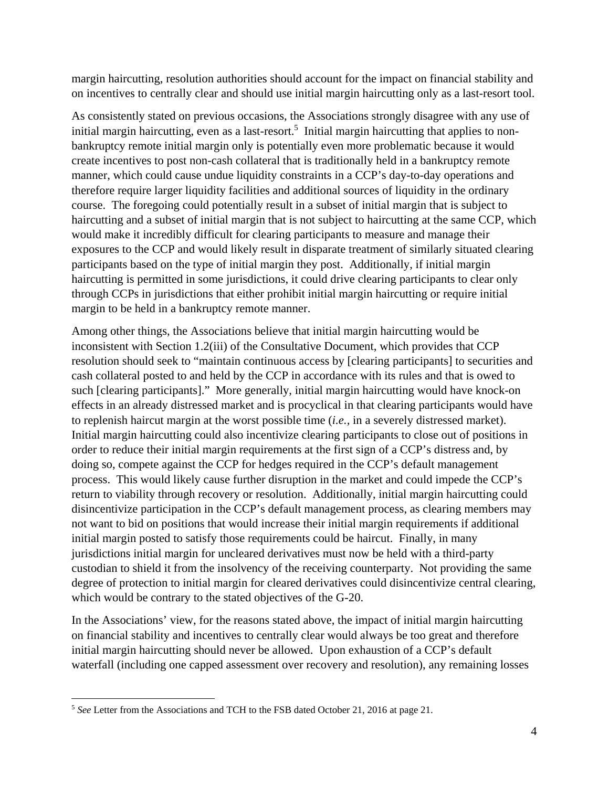margin haircutting, resolution authorities should account for the impact on financial stability and on incentives to centrally clear and should use initial margin haircutting only as a last-resort tool.

As consistently stated on previous occasions, the Associations strongly disagree with any use of initial margin haircutting, even as a last-resort.<sup>5</sup> Initial margin haircutting that applies to nonbankruptcy remote initial margin only is potentially even more problematic because it would create incentives to post non-cash collateral that is traditionally held in a bankruptcy remote manner, which could cause undue liquidity constraints in a CCP's day-to-day operations and therefore require larger liquidity facilities and additional sources of liquidity in the ordinary course. The foregoing could potentially result in a subset of initial margin that is subject to haircutting and a subset of initial margin that is not subject to haircutting at the same CCP, which would make it incredibly difficult for clearing participants to measure and manage their exposures to the CCP and would likely result in disparate treatment of similarly situated clearing participants based on the type of initial margin they post. Additionally, if initial margin haircutting is permitted in some jurisdictions, it could drive clearing participants to clear only through CCPs in jurisdictions that either prohibit initial margin haircutting or require initial margin to be held in a bankruptcy remote manner.

Among other things, the Associations believe that initial margin haircutting would be inconsistent with Section 1.2(iii) of the Consultative Document, which provides that CCP resolution should seek to "maintain continuous access by [clearing participants] to securities and cash collateral posted to and held by the CCP in accordance with its rules and that is owed to such [clearing participants]." More generally, initial margin haircutting would have knock-on effects in an already distressed market and is procyclical in that clearing participants would have to replenish haircut margin at the worst possible time (*i.e.,* in a severely distressed market). Initial margin haircutting could also incentivize clearing participants to close out of positions in order to reduce their initial margin requirements at the first sign of a CCP's distress and, by doing so, compete against the CCP for hedges required in the CCP's default management process. This would likely cause further disruption in the market and could impede the CCP's return to viability through recovery or resolution. Additionally, initial margin haircutting could disincentivize participation in the CCP's default management process, as clearing members may not want to bid on positions that would increase their initial margin requirements if additional initial margin posted to satisfy those requirements could be haircut. Finally, in many jurisdictions initial margin for uncleared derivatives must now be held with a third-party custodian to shield it from the insolvency of the receiving counterparty. Not providing the same degree of protection to initial margin for cleared derivatives could disincentivize central clearing, which would be contrary to the stated objectives of the G-20.

In the Associations' view, for the reasons stated above, the impact of initial margin haircutting on financial stability and incentives to centrally clear would always be too great and therefore initial margin haircutting should never be allowed. Upon exhaustion of a CCP's default waterfall (including one capped assessment over recovery and resolution), any remaining losses

<sup>5</sup> *See* Letter from the Associations and TCH to the FSB dated October 21, 2016 at page 21.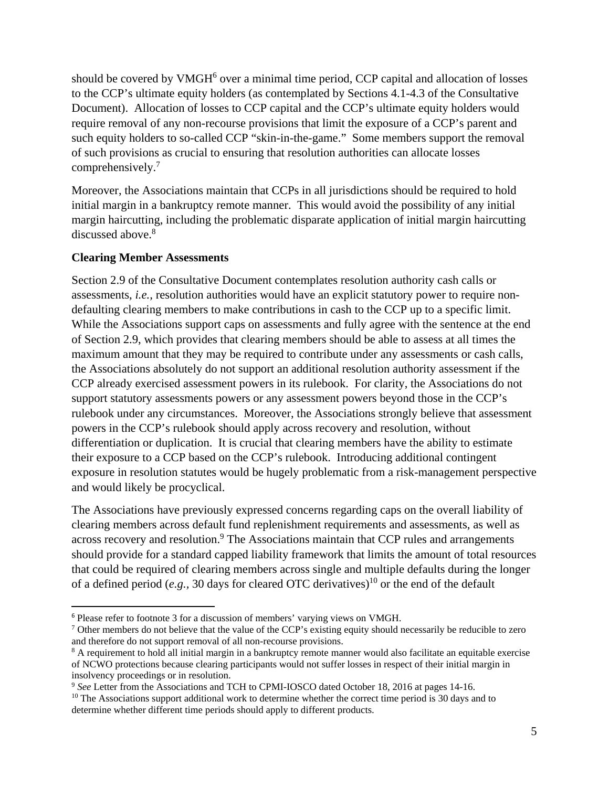should be covered by VMGH<sup>6</sup> over a minimal time period, CCP capital and allocation of losses to the CCP's ultimate equity holders (as contemplated by Sections 4.1-4.3 of the Consultative Document). Allocation of losses to CCP capital and the CCP's ultimate equity holders would require removal of any non-recourse provisions that limit the exposure of a CCP's parent and such equity holders to so-called CCP "skin-in-the-game." Some members support the removal of such provisions as crucial to ensuring that resolution authorities can allocate losses comprehensively.<sup>7</sup>

Moreover, the Associations maintain that CCPs in all jurisdictions should be required to hold initial margin in a bankruptcy remote manner. This would avoid the possibility of any initial margin haircutting, including the problematic disparate application of initial margin haircutting discussed above.<sup>8</sup>

#### **Clearing Member Assessments**

Section 2.9 of the Consultative Document contemplates resolution authority cash calls or assessments, *i.e.,* resolution authorities would have an explicit statutory power to require nondefaulting clearing members to make contributions in cash to the CCP up to a specific limit. While the Associations support caps on assessments and fully agree with the sentence at the end of Section 2.9, which provides that clearing members should be able to assess at all times the maximum amount that they may be required to contribute under any assessments or cash calls, the Associations absolutely do not support an additional resolution authority assessment if the CCP already exercised assessment powers in its rulebook. For clarity, the Associations do not support statutory assessments powers or any assessment powers beyond those in the CCP's rulebook under any circumstances. Moreover, the Associations strongly believe that assessment powers in the CCP's rulebook should apply across recovery and resolution, without differentiation or duplication. It is crucial that clearing members have the ability to estimate their exposure to a CCP based on the CCP's rulebook. Introducing additional contingent exposure in resolution statutes would be hugely problematic from a risk-management perspective and would likely be procyclical.

The Associations have previously expressed concerns regarding caps on the overall liability of clearing members across default fund replenishment requirements and assessments, as well as across recovery and resolution.<sup>9</sup> The Associations maintain that CCP rules and arrangements should provide for a standard capped liability framework that limits the amount of total resources that could be required of clearing members across single and multiple defaults during the longer of a defined period (*e.g.*, 30 days for cleared OTC derivatives)<sup>10</sup> or the end of the default

<sup>6</sup> Please refer to footnote 3 for a discussion of members' varying views on VMGH.

<sup>&</sup>lt;sup>7</sup> Other members do not believe that the value of the CCP's existing equity should necessarily be reducible to zero and therefore do not support removal of all non-recourse provisions.

<sup>&</sup>lt;sup>8</sup> A requirement to hold all initial margin in a bankruptcy remote manner would also facilitate an equitable exercise of NCWO protections because clearing participants would not suffer losses in respect of their initial margin in insolvency proceedings or in resolution.<br><sup>9</sup> See Letter from the Associations and TCH to CPMI-IOSCO dated October 18, 2016 at pages 14-16.

<sup>&</sup>lt;sup>10</sup> The Associations support additional work to determine whether the correct time period is 30 days and to determine whether different time periods should apply to different products.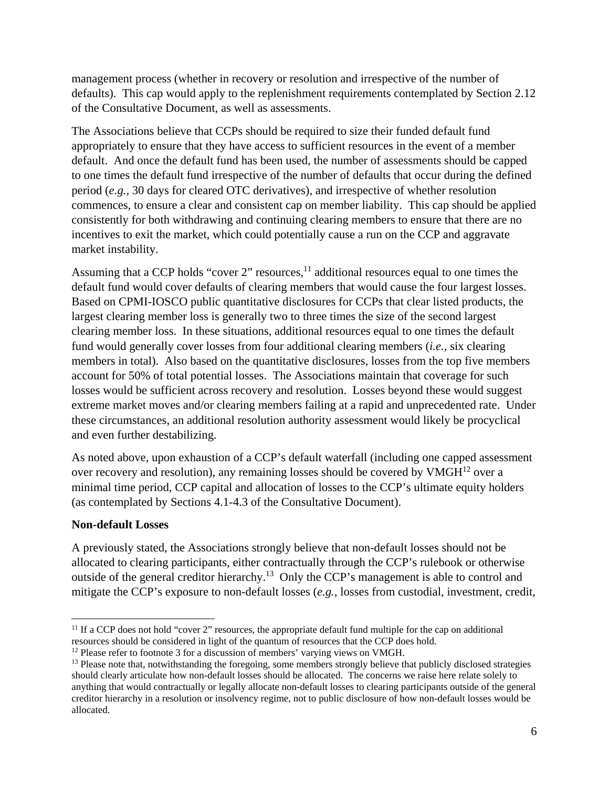management process (whether in recovery or resolution and irrespective of the number of defaults). This cap would apply to the replenishment requirements contemplated by Section 2.12 of the Consultative Document, as well as assessments.

The Associations believe that CCPs should be required to size their funded default fund appropriately to ensure that they have access to sufficient resources in the event of a member default. And once the default fund has been used, the number of assessments should be capped to one times the default fund irrespective of the number of defaults that occur during the defined period (*e.g.,* 30 days for cleared OTC derivatives), and irrespective of whether resolution commences, to ensure a clear and consistent cap on member liability. This cap should be applied consistently for both withdrawing and continuing clearing members to ensure that there are no incentives to exit the market, which could potentially cause a run on the CCP and aggravate market instability.

Assuming that a CCP holds "cover 2" resources,  $\frac{11}{11}$  additional resources equal to one times the default fund would cover defaults of clearing members that would cause the four largest losses. Based on CPMI-IOSCO public quantitative disclosures for CCPs that clear listed products, the largest clearing member loss is generally two to three times the size of the second largest clearing member loss. In these situations, additional resources equal to one times the default fund would generally cover losses from four additional clearing members (*i.e.,* six clearing members in total). Also based on the quantitative disclosures, losses from the top five members account for 50% of total potential losses. The Associations maintain that coverage for such losses would be sufficient across recovery and resolution. Losses beyond these would suggest extreme market moves and/or clearing members failing at a rapid and unprecedented rate. Under these circumstances, an additional resolution authority assessment would likely be procyclical and even further destabilizing.

As noted above, upon exhaustion of a CCP's default waterfall (including one capped assessment over recovery and resolution), any remaining losses should be covered by  $VMGH<sup>12</sup>$  over a minimal time period, CCP capital and allocation of losses to the CCP's ultimate equity holders (as contemplated by Sections 4.1-4.3 of the Consultative Document).

### **Non-default Losses**

A previously stated, the Associations strongly believe that non-default losses should not be allocated to clearing participants, either contractually through the CCP's rulebook or otherwise outside of the general creditor hierarchy.<sup>13</sup> Only the CCP's management is able to control and mitigate the CCP's exposure to non-default losses (*e.g.,* losses from custodial, investment, credit,

 $11$  If a CCP does not hold "cover 2" resources, the appropriate default fund multiple for the cap on additional resources should be considered in light of the quantum of resources that the CCP does hold.

 $12$  Please refer to footnote 3 for a discussion of members' varying views on VMGH.

<sup>&</sup>lt;sup>13</sup> Please note that, notwithstanding the foregoing, some members strongly believe that publicly disclosed strategies should clearly articulate how non-default losses should be allocated. The concerns we raise here relate solely to anything that would contractually or legally allocate non-default losses to clearing participants outside of the general creditor hierarchy in a resolution or insolvency regime, not to public disclosure of how non-default losses would be allocated.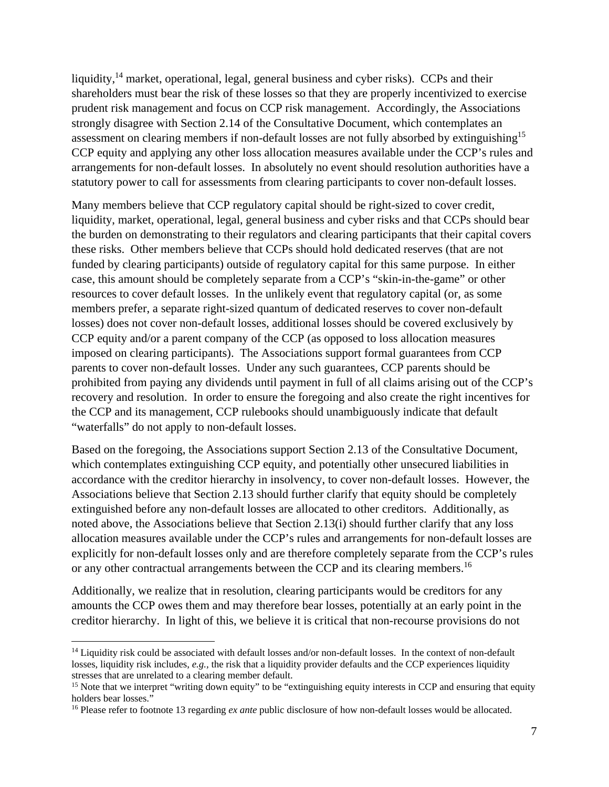liquidity, $^{14}$  market, operational, legal, general business and cyber risks). CCPs and their shareholders must bear the risk of these losses so that they are properly incentivized to exercise prudent risk management and focus on CCP risk management. Accordingly, the Associations strongly disagree with Section 2.14 of the Consultative Document, which contemplates an assessment on clearing members if non-default losses are not fully absorbed by extinguishing<sup>15</sup> CCP equity and applying any other loss allocation measures available under the CCP's rules and arrangements for non-default losses. In absolutely no event should resolution authorities have a statutory power to call for assessments from clearing participants to cover non-default losses.

Many members believe that CCP regulatory capital should be right-sized to cover credit, liquidity, market, operational, legal, general business and cyber risks and that CCPs should bear the burden on demonstrating to their regulators and clearing participants that their capital covers these risks. Other members believe that CCPs should hold dedicated reserves (that are not funded by clearing participants) outside of regulatory capital for this same purpose. In either case, this amount should be completely separate from a CCP's "skin-in-the-game" or other resources to cover default losses. In the unlikely event that regulatory capital (or, as some members prefer, a separate right-sized quantum of dedicated reserves to cover non-default losses) does not cover non-default losses, additional losses should be covered exclusively by CCP equity and/or a parent company of the CCP (as opposed to loss allocation measures imposed on clearing participants). The Associations support formal guarantees from CCP parents to cover non-default losses. Under any such guarantees, CCP parents should be prohibited from paying any dividends until payment in full of all claims arising out of the CCP's recovery and resolution. In order to ensure the foregoing and also create the right incentives for the CCP and its management, CCP rulebooks should unambiguously indicate that default "waterfalls" do not apply to non-default losses.

Based on the foregoing, the Associations support Section 2.13 of the Consultative Document, which contemplates extinguishing CCP equity, and potentially other unsecured liabilities in accordance with the creditor hierarchy in insolvency, to cover non-default losses. However, the Associations believe that Section 2.13 should further clarify that equity should be completely extinguished before any non-default losses are allocated to other creditors. Additionally, as noted above, the Associations believe that Section 2.13(i) should further clarify that any loss allocation measures available under the CCP's rules and arrangements for non-default losses are explicitly for non-default losses only and are therefore completely separate from the CCP's rules or any other contractual arrangements between the CCP and its clearing members.<sup>16</sup>

Additionally, we realize that in resolution, clearing participants would be creditors for any amounts the CCP owes them and may therefore bear losses, potentially at an early point in the creditor hierarchy. In light of this, we believe it is critical that non-recourse provisions do not

<sup>&</sup>lt;sup>14</sup> Liquidity risk could be associated with default losses and/or non-default losses. In the context of non-default losses, liquidity risk includes, *e.g.,* the risk that a liquidity provider defaults and the CCP experiences liquidity stresses that are unrelated to a clearing member default.<br><sup>15</sup> Note that we interpret "writing down equity" to be "extinguishing equity interests in CCP and ensuring that equity

holders bear losses."

<sup>&</sup>lt;sup>16</sup> Please refer to footnote 13 regarding *ex ante* public disclosure of how non-default losses would be allocated.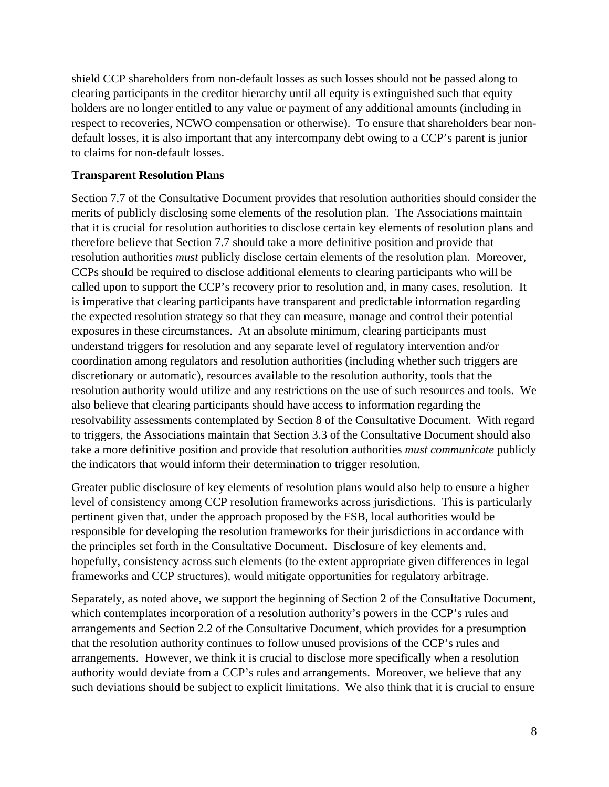shield CCP shareholders from non-default losses as such losses should not be passed along to clearing participants in the creditor hierarchy until all equity is extinguished such that equity holders are no longer entitled to any value or payment of any additional amounts (including in respect to recoveries, NCWO compensation or otherwise). To ensure that shareholders bear nondefault losses, it is also important that any intercompany debt owing to a CCP's parent is junior to claims for non-default losses.

### **Transparent Resolution Plans**

Section 7.7 of the Consultative Document provides that resolution authorities should consider the merits of publicly disclosing some elements of the resolution plan. The Associations maintain that it is crucial for resolution authorities to disclose certain key elements of resolution plans and therefore believe that Section 7.7 should take a more definitive position and provide that resolution authorities *must* publicly disclose certain elements of the resolution plan. Moreover, CCPs should be required to disclose additional elements to clearing participants who will be called upon to support the CCP's recovery prior to resolution and, in many cases, resolution. It is imperative that clearing participants have transparent and predictable information regarding the expected resolution strategy so that they can measure, manage and control their potential exposures in these circumstances. At an absolute minimum, clearing participants must understand triggers for resolution and any separate level of regulatory intervention and/or coordination among regulators and resolution authorities (including whether such triggers are discretionary or automatic), resources available to the resolution authority, tools that the resolution authority would utilize and any restrictions on the use of such resources and tools. We also believe that clearing participants should have access to information regarding the resolvability assessments contemplated by Section 8 of the Consultative Document. With regard to triggers, the Associations maintain that Section 3.3 of the Consultative Document should also take a more definitive position and provide that resolution authorities *must communicate* publicly the indicators that would inform their determination to trigger resolution.

Greater public disclosure of key elements of resolution plans would also help to ensure a higher level of consistency among CCP resolution frameworks across jurisdictions. This is particularly pertinent given that, under the approach proposed by the FSB, local authorities would be responsible for developing the resolution frameworks for their jurisdictions in accordance with the principles set forth in the Consultative Document. Disclosure of key elements and, hopefully, consistency across such elements (to the extent appropriate given differences in legal frameworks and CCP structures), would mitigate opportunities for regulatory arbitrage.

Separately, as noted above, we support the beginning of Section 2 of the Consultative Document, which contemplates incorporation of a resolution authority's powers in the CCP's rules and arrangements and Section 2.2 of the Consultative Document, which provides for a presumption that the resolution authority continues to follow unused provisions of the CCP's rules and arrangements. However, we think it is crucial to disclose more specifically when a resolution authority would deviate from a CCP's rules and arrangements. Moreover, we believe that any such deviations should be subject to explicit limitations. We also think that it is crucial to ensure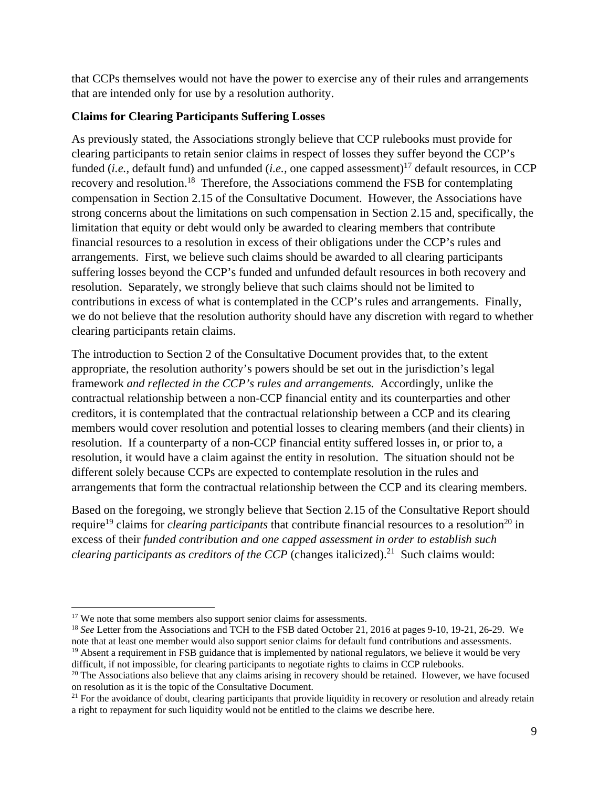that CCPs themselves would not have the power to exercise any of their rules and arrangements that are intended only for use by a resolution authority.

### **Claims for Clearing Participants Suffering Losses**

As previously stated, the Associations strongly believe that CCP rulebooks must provide for clearing participants to retain senior claims in respect of losses they suffer beyond the CCP's funded (*i.e.*, default fund) and unfunded (*i.e.*, one capped assessment)<sup>17</sup> default resources, in CCP recovery and resolution.18 Therefore, the Associations commend the FSB for contemplating compensation in Section 2.15 of the Consultative Document. However, the Associations have strong concerns about the limitations on such compensation in Section 2.15 and, specifically, the limitation that equity or debt would only be awarded to clearing members that contribute financial resources to a resolution in excess of their obligations under the CCP's rules and arrangements. First, we believe such claims should be awarded to all clearing participants suffering losses beyond the CCP's funded and unfunded default resources in both recovery and resolution. Separately, we strongly believe that such claims should not be limited to contributions in excess of what is contemplated in the CCP's rules and arrangements. Finally, we do not believe that the resolution authority should have any discretion with regard to whether clearing participants retain claims.

The introduction to Section 2 of the Consultative Document provides that, to the extent appropriate, the resolution authority's powers should be set out in the jurisdiction's legal framework *and reflected in the CCP's rules and arrangements.* Accordingly, unlike the contractual relationship between a non-CCP financial entity and its counterparties and other creditors, it is contemplated that the contractual relationship between a CCP and its clearing members would cover resolution and potential losses to clearing members (and their clients) in resolution. If a counterparty of a non-CCP financial entity suffered losses in, or prior to, a resolution, it would have a claim against the entity in resolution. The situation should not be different solely because CCPs are expected to contemplate resolution in the rules and arrangements that form the contractual relationship between the CCP and its clearing members.

Based on the foregoing, we strongly believe that Section 2.15 of the Consultative Report should require<sup>19</sup> claims for *clearing participants* that contribute financial resources to a resolution<sup>20</sup> in excess of their *funded contribution and one capped assessment in order to establish such clearing participants as creditors of the CCP* (changes italicized).<sup>21</sup> Such claims would:

<sup>&</sup>lt;sup>17</sup> We note that some members also support senior claims for assessments.<br><sup>18</sup> *See* Letter from the Associations and TCH to the FSB dated October 21, 2016 at pages 9-10, 19-21, 26-29. We note that at least one member would also support senior claims for default fund contributions and assessments. <sup>19</sup> Absent a requirement in FSB guidance that is implemented by national regulators, we believe it would be very difficult, if not impossible, for clearing participants to negotiate rights to claims in CCP rulebooks.<br><sup>20</sup> The Associations also believe that any claims arising in recovery should be retained. However, we have focused

on resolution as it is the topic of the Consultative Document.

<sup>&</sup>lt;sup>21</sup> For the avoidance of doubt, clearing participants that provide liquidity in recovery or resolution and already retain a right to repayment for such liquidity would not be entitled to the claims we describe here.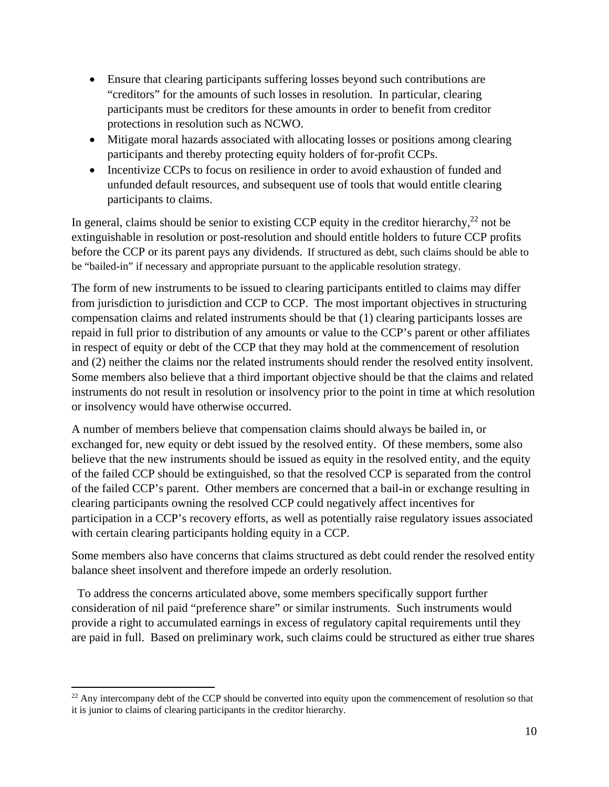- Ensure that clearing participants suffering losses beyond such contributions are "creditors" for the amounts of such losses in resolution. In particular, clearing participants must be creditors for these amounts in order to benefit from creditor protections in resolution such as NCWO.
- Mitigate moral hazards associated with allocating losses or positions among clearing participants and thereby protecting equity holders of for-profit CCPs.
- Incentivize CCPs to focus on resilience in order to avoid exhaustion of funded and unfunded default resources, and subsequent use of tools that would entitle clearing participants to claims.

In general, claims should be senior to existing CCP equity in the creditor hierarchy, $^{22}$  not be extinguishable in resolution or post-resolution and should entitle holders to future CCP profits before the CCP or its parent pays any dividends. If structured as debt, such claims should be able to be "bailed-in" if necessary and appropriate pursuant to the applicable resolution strategy.

The form of new instruments to be issued to clearing participants entitled to claims may differ from jurisdiction to jurisdiction and CCP to CCP. The most important objectives in structuring compensation claims and related instruments should be that (1) clearing participants losses are repaid in full prior to distribution of any amounts or value to the CCP's parent or other affiliates in respect of equity or debt of the CCP that they may hold at the commencement of resolution and (2) neither the claims nor the related instruments should render the resolved entity insolvent. Some members also believe that a third important objective should be that the claims and related instruments do not result in resolution or insolvency prior to the point in time at which resolution or insolvency would have otherwise occurred.

A number of members believe that compensation claims should always be bailed in, or exchanged for, new equity or debt issued by the resolved entity. Of these members, some also believe that the new instruments should be issued as equity in the resolved entity, and the equity of the failed CCP should be extinguished, so that the resolved CCP is separated from the control of the failed CCP's parent. Other members are concerned that a bail-in or exchange resulting in clearing participants owning the resolved CCP could negatively affect incentives for participation in a CCP's recovery efforts, as well as potentially raise regulatory issues associated with certain clearing participants holding equity in a CCP.

Some members also have concerns that claims structured as debt could render the resolved entity balance sheet insolvent and therefore impede an orderly resolution.

 To address the concerns articulated above, some members specifically support further consideration of nil paid "preference share" or similar instruments. Such instruments would provide a right to accumulated earnings in excess of regulatory capital requirements until they are paid in full. Based on preliminary work, such claims could be structured as either true shares

<sup>&</sup>lt;sup>22</sup> Any intercompany debt of the CCP should be converted into equity upon the commencement of resolution so that it is junior to claims of clearing participants in the creditor hierarchy.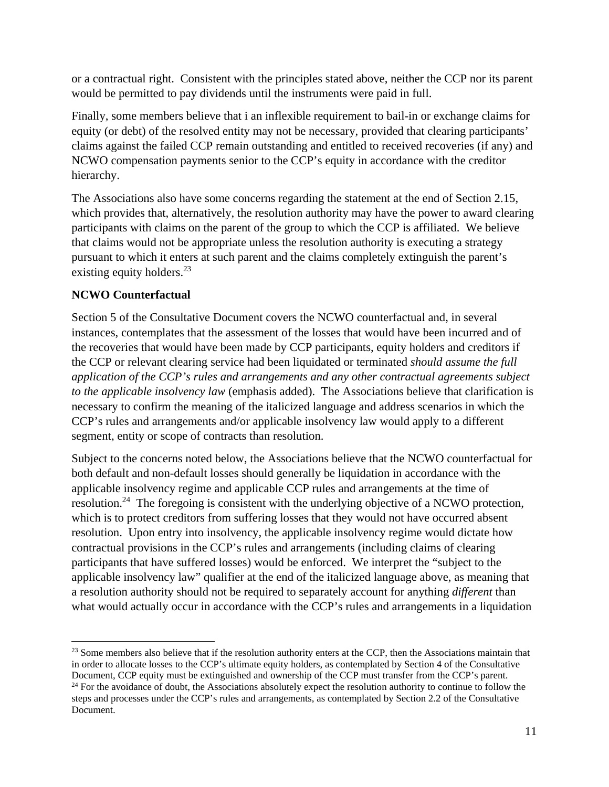or a contractual right. Consistent with the principles stated above, neither the CCP nor its parent would be permitted to pay dividends until the instruments were paid in full.

Finally, some members believe that i an inflexible requirement to bail-in or exchange claims for equity (or debt) of the resolved entity may not be necessary, provided that clearing participants' claims against the failed CCP remain outstanding and entitled to received recoveries (if any) and NCWO compensation payments senior to the CCP's equity in accordance with the creditor hierarchy.

The Associations also have some concerns regarding the statement at the end of Section 2.15, which provides that, alternatively, the resolution authority may have the power to award clearing participants with claims on the parent of the group to which the CCP is affiliated. We believe that claims would not be appropriate unless the resolution authority is executing a strategy pursuant to which it enters at such parent and the claims completely extinguish the parent's existing equity holders.<sup>23</sup>

## **NCWO Counterfactual**

Section 5 of the Consultative Document covers the NCWO counterfactual and, in several instances, contemplates that the assessment of the losses that would have been incurred and of the recoveries that would have been made by CCP participants, equity holders and creditors if the CCP or relevant clearing service had been liquidated or terminated *should assume the full application of the CCP's rules and arrangements and any other contractual agreements subject to the applicable insolvency law* (emphasis added). The Associations believe that clarification is necessary to confirm the meaning of the italicized language and address scenarios in which the CCP's rules and arrangements and/or applicable insolvency law would apply to a different segment, entity or scope of contracts than resolution.

Subject to the concerns noted below, the Associations believe that the NCWO counterfactual for both default and non-default losses should generally be liquidation in accordance with the applicable insolvency regime and applicable CCP rules and arrangements at the time of resolution.<sup>24</sup> The foregoing is consistent with the underlying objective of a NCWO protection, which is to protect creditors from suffering losses that they would not have occurred absent resolution. Upon entry into insolvency, the applicable insolvency regime would dictate how contractual provisions in the CCP's rules and arrangements (including claims of clearing participants that have suffered losses) would be enforced. We interpret the "subject to the applicable insolvency law" qualifier at the end of the italicized language above, as meaning that a resolution authority should not be required to separately account for anything *different* than what would actually occur in accordance with the CCP's rules and arrangements in a liquidation

 $23$  Some members also believe that if the resolution authority enters at the CCP, then the Associations maintain that in order to allocate losses to the CCP's ultimate equity holders, as contemplated by Section 4 of the Consultative Document, CCP equity must be extinguished and ownership of the CCP must transfer from the CCP's parent.

<sup>&</sup>lt;sup>24</sup> For the avoidance of doubt, the Associations absolutely expect the resolution authority to continue to follow the steps and processes under the CCP's rules and arrangements, as contemplated by Section 2.2 of the Consultative Document.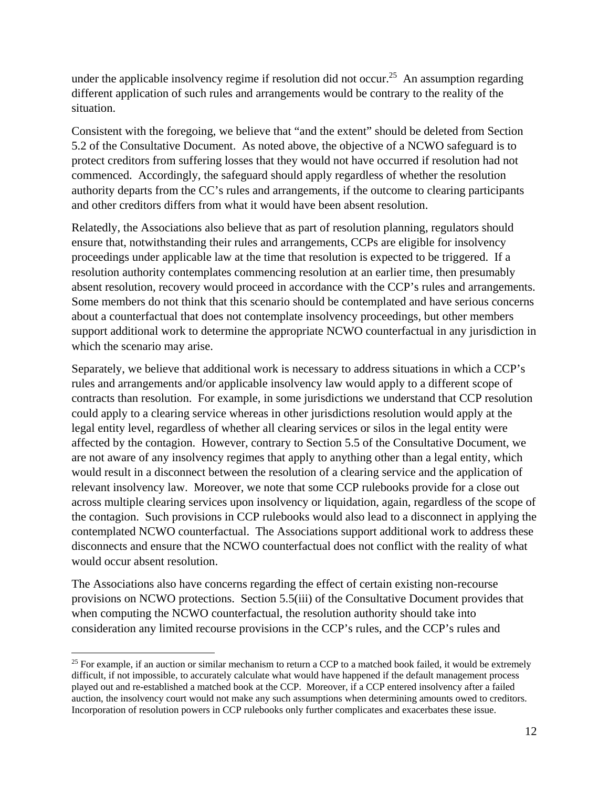under the applicable insolvency regime if resolution did not occur.<sup>25</sup> An assumption regarding different application of such rules and arrangements would be contrary to the reality of the situation.

Consistent with the foregoing, we believe that "and the extent" should be deleted from Section 5.2 of the Consultative Document. As noted above, the objective of a NCWO safeguard is to protect creditors from suffering losses that they would not have occurred if resolution had not commenced. Accordingly, the safeguard should apply regardless of whether the resolution authority departs from the CC's rules and arrangements, if the outcome to clearing participants and other creditors differs from what it would have been absent resolution.

Relatedly, the Associations also believe that as part of resolution planning, regulators should ensure that, notwithstanding their rules and arrangements, CCPs are eligible for insolvency proceedings under applicable law at the time that resolution is expected to be triggered. If a resolution authority contemplates commencing resolution at an earlier time, then presumably absent resolution, recovery would proceed in accordance with the CCP's rules and arrangements. Some members do not think that this scenario should be contemplated and have serious concerns about a counterfactual that does not contemplate insolvency proceedings, but other members support additional work to determine the appropriate NCWO counterfactual in any jurisdiction in which the scenario may arise.

Separately, we believe that additional work is necessary to address situations in which a CCP's rules and arrangements and/or applicable insolvency law would apply to a different scope of contracts than resolution. For example, in some jurisdictions we understand that CCP resolution could apply to a clearing service whereas in other jurisdictions resolution would apply at the legal entity level, regardless of whether all clearing services or silos in the legal entity were affected by the contagion. However, contrary to Section 5.5 of the Consultative Document, we are not aware of any insolvency regimes that apply to anything other than a legal entity, which would result in a disconnect between the resolution of a clearing service and the application of relevant insolvency law. Moreover, we note that some CCP rulebooks provide for a close out across multiple clearing services upon insolvency or liquidation, again, regardless of the scope of the contagion. Such provisions in CCP rulebooks would also lead to a disconnect in applying the contemplated NCWO counterfactual. The Associations support additional work to address these disconnects and ensure that the NCWO counterfactual does not conflict with the reality of what would occur absent resolution.

The Associations also have concerns regarding the effect of certain existing non-recourse provisions on NCWO protections. Section 5.5(iii) of the Consultative Document provides that when computing the NCWO counterfactual, the resolution authority should take into consideration any limited recourse provisions in the CCP's rules, and the CCP's rules and

 $25$  For example, if an auction or similar mechanism to return a CCP to a matched book failed, it would be extremely difficult, if not impossible, to accurately calculate what would have happened if the default management process played out and re-established a matched book at the CCP. Moreover, if a CCP entered insolvency after a failed auction, the insolvency court would not make any such assumptions when determining amounts owed to creditors. Incorporation of resolution powers in CCP rulebooks only further complicates and exacerbates these issue.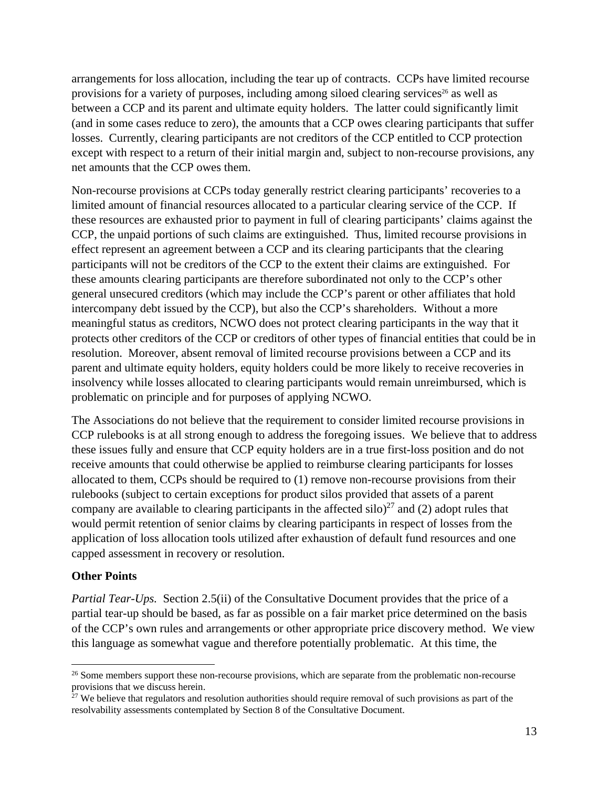arrangements for loss allocation, including the tear up of contracts. CCPs have limited recourse provisions for a variety of purposes, including among siloed clearing services<sup>26</sup> as well as between a CCP and its parent and ultimate equity holders. The latter could significantly limit (and in some cases reduce to zero), the amounts that a CCP owes clearing participants that suffer losses. Currently, clearing participants are not creditors of the CCP entitled to CCP protection except with respect to a return of their initial margin and, subject to non-recourse provisions, any net amounts that the CCP owes them.

Non-recourse provisions at CCPs today generally restrict clearing participants' recoveries to a limited amount of financial resources allocated to a particular clearing service of the CCP. If these resources are exhausted prior to payment in full of clearing participants' claims against the CCP, the unpaid portions of such claims are extinguished. Thus, limited recourse provisions in effect represent an agreement between a CCP and its clearing participants that the clearing participants will not be creditors of the CCP to the extent their claims are extinguished. For these amounts clearing participants are therefore subordinated not only to the CCP's other general unsecured creditors (which may include the CCP's parent or other affiliates that hold intercompany debt issued by the CCP), but also the CCP's shareholders. Without a more meaningful status as creditors, NCWO does not protect clearing participants in the way that it protects other creditors of the CCP or creditors of other types of financial entities that could be in resolution. Moreover, absent removal of limited recourse provisions between a CCP and its parent and ultimate equity holders, equity holders could be more likely to receive recoveries in insolvency while losses allocated to clearing participants would remain unreimbursed, which is problematic on principle and for purposes of applying NCWO.

The Associations do not believe that the requirement to consider limited recourse provisions in CCP rulebooks is at all strong enough to address the foregoing issues. We believe that to address these issues fully and ensure that CCP equity holders are in a true first-loss position and do not receive amounts that could otherwise be applied to reimburse clearing participants for losses allocated to them, CCPs should be required to (1) remove non-recourse provisions from their rulebooks (subject to certain exceptions for product silos provided that assets of a parent company are available to clearing participants in the affected silo)<sup>27</sup> and (2) adopt rules that would permit retention of senior claims by clearing participants in respect of losses from the application of loss allocation tools utilized after exhaustion of default fund resources and one capped assessment in recovery or resolution.

#### **Other Points**

*Partial Tear-Ups.* Section 2.5(ii) of the Consultative Document provides that the price of a partial tear-up should be based, as far as possible on a fair market price determined on the basis of the CCP's own rules and arrangements or other appropriate price discovery method. We view this language as somewhat vague and therefore potentially problematic. At this time, the

<sup>&</sup>lt;sup>26</sup> Some members support these non-recourse provisions, which are separate from the problematic non-recourse provisions that we discuss herein.

 $27$  We believe that regulators and resolution authorities should require removal of such provisions as part of the resolvability assessments contemplated by Section 8 of the Consultative Document.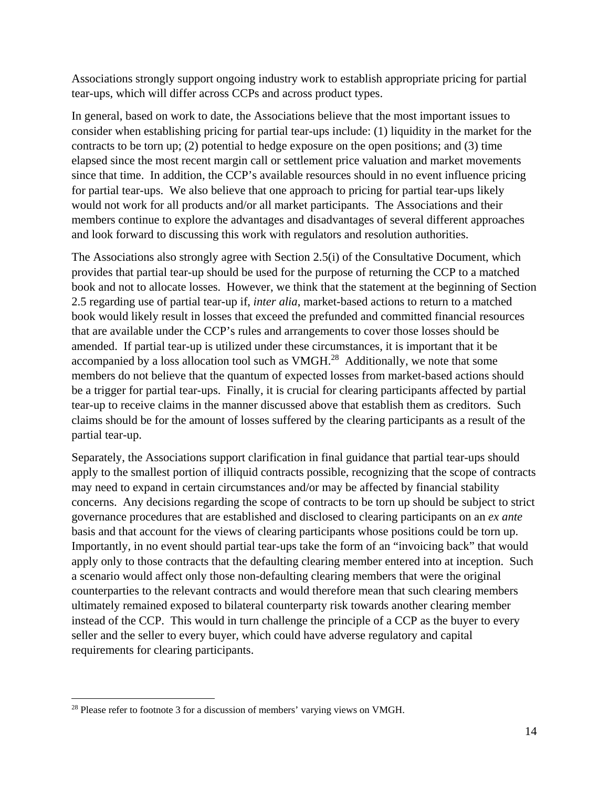Associations strongly support ongoing industry work to establish appropriate pricing for partial tear-ups, which will differ across CCPs and across product types.

In general, based on work to date, the Associations believe that the most important issues to consider when establishing pricing for partial tear-ups include: (1) liquidity in the market for the contracts to be torn up; (2) potential to hedge exposure on the open positions; and (3) time elapsed since the most recent margin call or settlement price valuation and market movements since that time. In addition, the CCP's available resources should in no event influence pricing for partial tear-ups. We also believe that one approach to pricing for partial tear-ups likely would not work for all products and/or all market participants. The Associations and their members continue to explore the advantages and disadvantages of several different approaches and look forward to discussing this work with regulators and resolution authorities.

The Associations also strongly agree with Section 2.5(i) of the Consultative Document, which provides that partial tear-up should be used for the purpose of returning the CCP to a matched book and not to allocate losses. However, we think that the statement at the beginning of Section 2.5 regarding use of partial tear-up if, *inter alia*, market-based actions to return to a matched book would likely result in losses that exceed the prefunded and committed financial resources that are available under the CCP's rules and arrangements to cover those losses should be amended. If partial tear-up is utilized under these circumstances, it is important that it be accompanied by a loss allocation tool such as VMGH.<sup>28</sup> Additionally, we note that some members do not believe that the quantum of expected losses from market-based actions should be a trigger for partial tear-ups. Finally, it is crucial for clearing participants affected by partial tear-up to receive claims in the manner discussed above that establish them as creditors. Such claims should be for the amount of losses suffered by the clearing participants as a result of the partial tear-up.

Separately, the Associations support clarification in final guidance that partial tear-ups should apply to the smallest portion of illiquid contracts possible, recognizing that the scope of contracts may need to expand in certain circumstances and/or may be affected by financial stability concerns. Any decisions regarding the scope of contracts to be torn up should be subject to strict governance procedures that are established and disclosed to clearing participants on an *ex ante* basis and that account for the views of clearing participants whose positions could be torn up. Importantly, in no event should partial tear-ups take the form of an "invoicing back" that would apply only to those contracts that the defaulting clearing member entered into at inception. Such a scenario would affect only those non-defaulting clearing members that were the original counterparties to the relevant contracts and would therefore mean that such clearing members ultimately remained exposed to bilateral counterparty risk towards another clearing member instead of the CCP. This would in turn challenge the principle of a CCP as the buyer to every seller and the seller to every buyer, which could have adverse regulatory and capital requirements for clearing participants.

<sup>&</sup>lt;sup>28</sup> Please refer to footnote 3 for a discussion of members' varying views on VMGH.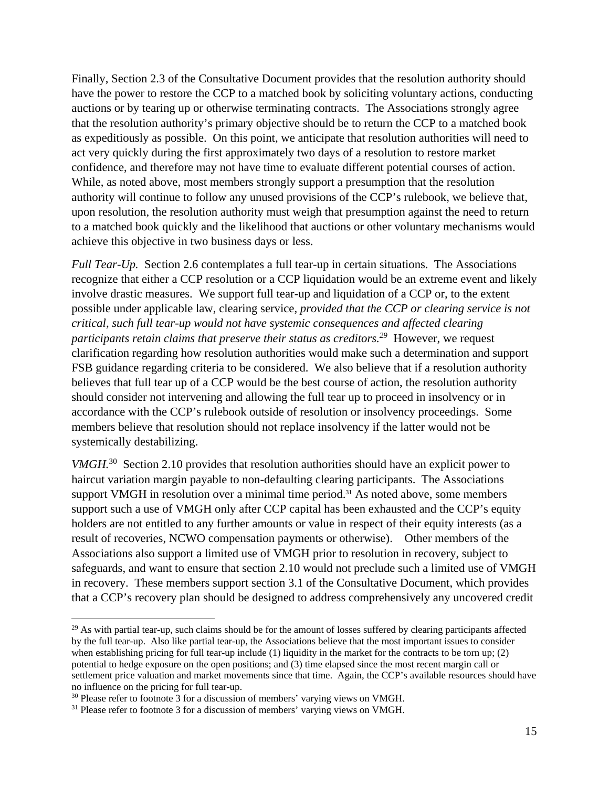Finally, Section 2.3 of the Consultative Document provides that the resolution authority should have the power to restore the CCP to a matched book by soliciting voluntary actions, conducting auctions or by tearing up or otherwise terminating contracts. The Associations strongly agree that the resolution authority's primary objective should be to return the CCP to a matched book as expeditiously as possible. On this point, we anticipate that resolution authorities will need to act very quickly during the first approximately two days of a resolution to restore market confidence, and therefore may not have time to evaluate different potential courses of action. While, as noted above, most members strongly support a presumption that the resolution authority will continue to follow any unused provisions of the CCP's rulebook, we believe that, upon resolution, the resolution authority must weigh that presumption against the need to return to a matched book quickly and the likelihood that auctions or other voluntary mechanisms would achieve this objective in two business days or less.

*Full Tear-Up.* Section 2.6 contemplates a full tear-up in certain situations. The Associations recognize that either a CCP resolution or a CCP liquidation would be an extreme event and likely involve drastic measures. We support full tear-up and liquidation of a CCP or, to the extent possible under applicable law, clearing service, *provided that the CCP or clearing service is not critical, such full tear-up would not have systemic consequences and affected clearing participants retain claims that preserve their status as creditors.29* However, we request clarification regarding how resolution authorities would make such a determination and support FSB guidance regarding criteria to be considered. We also believe that if a resolution authority believes that full tear up of a CCP would be the best course of action, the resolution authority should consider not intervening and allowing the full tear up to proceed in insolvency or in accordance with the CCP's rulebook outside of resolution or insolvency proceedings. Some members believe that resolution should not replace insolvency if the latter would not be systemically destabilizing.

*VMGH*.<sup>30</sup> Section 2.10 provides that resolution authorities should have an explicit power to haircut variation margin payable to non-defaulting clearing participants. The Associations support VMGH in resolution over a minimal time period.<sup>31</sup> As noted above, some members support such a use of VMGH only after CCP capital has been exhausted and the CCP's equity holders are not entitled to any further amounts or value in respect of their equity interests (as a result of recoveries, NCWO compensation payments or otherwise). Other members of the Associations also support a limited use of VMGH prior to resolution in recovery, subject to safeguards, and want to ensure that section 2.10 would not preclude such a limited use of VMGH in recovery. These members support section 3.1 of the Consultative Document, which provides that a CCP's recovery plan should be designed to address comprehensively any uncovered credit

 $29$  As with partial tear-up, such claims should be for the amount of losses suffered by clearing participants affected by the full tear-up. Also like partial tear-up, the Associations believe that the most important issues to consider when establishing pricing for full tear-up include (1) liquidity in the market for the contracts to be torn up; (2) potential to hedge exposure on the open positions; and (3) time elapsed since the most recent margin call or settlement price valuation and market movements since that time. Again, the CCP's available resources should have no influence on the pricing for full tear-up.

<sup>&</sup>lt;sup>30</sup> Please refer to footnote 3 for a discussion of members' varying views on VMGH.

<sup>&</sup>lt;sup>31</sup> Please refer to footnote 3 for a discussion of members' varying views on VMGH.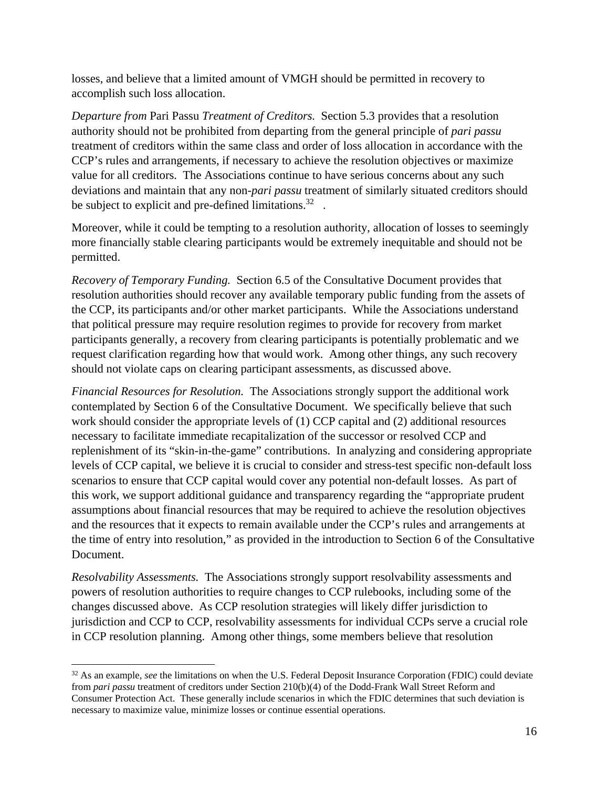losses, and believe that a limited amount of VMGH should be permitted in recovery to accomplish such loss allocation.

*Departure from* Pari Passu *Treatment of Creditors.* Section 5.3 provides that a resolution authority should not be prohibited from departing from the general principle of *pari passu* treatment of creditors within the same class and order of loss allocation in accordance with the CCP's rules and arrangements, if necessary to achieve the resolution objectives or maximize value for all creditors. The Associations continue to have serious concerns about any such deviations and maintain that any non-*pari passu* treatment of similarly situated creditors should be subject to explicit and pre-defined limitations.<sup>32</sup>.

Moreover, while it could be tempting to a resolution authority, allocation of losses to seemingly more financially stable clearing participants would be extremely inequitable and should not be permitted.

*Recovery of Temporary Funding.* Section 6.5 of the Consultative Document provides that resolution authorities should recover any available temporary public funding from the assets of the CCP, its participants and/or other market participants. While the Associations understand that political pressure may require resolution regimes to provide for recovery from market participants generally, a recovery from clearing participants is potentially problematic and we request clarification regarding how that would work. Among other things, any such recovery should not violate caps on clearing participant assessments, as discussed above.

*Financial Resources for Resolution.* The Associations strongly support the additional work contemplated by Section 6 of the Consultative Document. We specifically believe that such work should consider the appropriate levels of (1) CCP capital and (2) additional resources necessary to facilitate immediate recapitalization of the successor or resolved CCP and replenishment of its "skin-in-the-game" contributions. In analyzing and considering appropriate levels of CCP capital, we believe it is crucial to consider and stress-test specific non-default loss scenarios to ensure that CCP capital would cover any potential non-default losses. As part of this work, we support additional guidance and transparency regarding the "appropriate prudent assumptions about financial resources that may be required to achieve the resolution objectives and the resources that it expects to remain available under the CCP's rules and arrangements at the time of entry into resolution," as provided in the introduction to Section 6 of the Consultative Document.

*Resolvability Assessments.* The Associations strongly support resolvability assessments and powers of resolution authorities to require changes to CCP rulebooks, including some of the changes discussed above. As CCP resolution strategies will likely differ jurisdiction to jurisdiction and CCP to CCP, resolvability assessments for individual CCPs serve a crucial role in CCP resolution planning. Among other things, some members believe that resolution

<sup>&</sup>lt;sup>32</sup> As an example, *see* the limitations on when the U.S. Federal Deposit Insurance Corporation (FDIC) could deviate from *pari passu* treatment of creditors under Section 210(b)(4) of the Dodd-Frank Wall Street Reform and Consumer Protection Act. These generally include scenarios in which the FDIC determines that such deviation is necessary to maximize value, minimize losses or continue essential operations.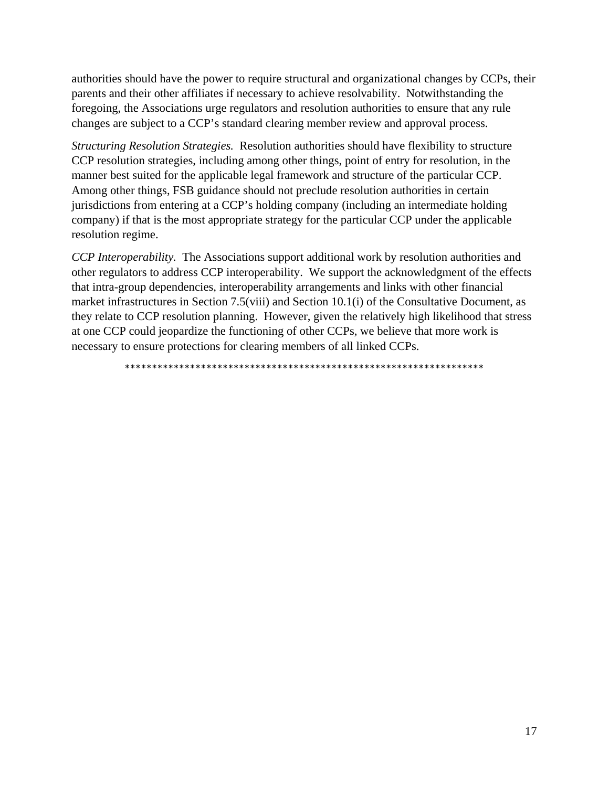authorities should have the power to require structural and organizational changes by CCPs, their parents and their other affiliates if necessary to achieve resolvability. Notwithstanding the foregoing, the Associations urge regulators and resolution authorities to ensure that any rule changes are subject to a CCP's standard clearing member review and approval process.

*Structuring Resolution Strategies.* Resolution authorities should have flexibility to structure CCP resolution strategies, including among other things, point of entry for resolution, in the manner best suited for the applicable legal framework and structure of the particular CCP. Among other things, FSB guidance should not preclude resolution authorities in certain jurisdictions from entering at a CCP's holding company (including an intermediate holding company) if that is the most appropriate strategy for the particular CCP under the applicable resolution regime.

*CCP Interoperability.* The Associations support additional work by resolution authorities and other regulators to address CCP interoperability. We support the acknowledgment of the effects that intra-group dependencies, interoperability arrangements and links with other financial market infrastructures in Section 7.5(viii) and Section 10.1(i) of the Consultative Document, as they relate to CCP resolution planning. However, given the relatively high likelihood that stress at one CCP could jeopardize the functioning of other CCPs, we believe that more work is necessary to ensure protections for clearing members of all linked CCPs.

\*\*\*\*\*\*\*\*\*\*\*\*\*\*\*\*\*\*\*\*\*\*\*\*\*\*\*\*\*\*\*\*\*\*\*\*\*\*\*\*\*\*\*\*\*\*\*\*\*\*\*\*\*\*\*\*\*\*\*\*\*\*\*\*\*\*